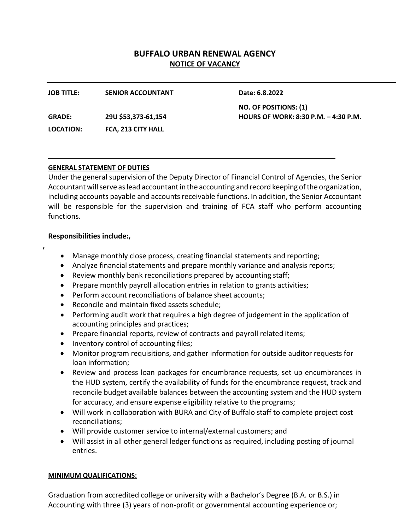# **BUFFALO URBAN RENEWAL AGENCY NOTICE OF VACANCY**

| <b>JOB TITLE:</b> | <b>SENIOR ACCOUNTANT</b> | Date: 6.8.2022                       |
|-------------------|--------------------------|--------------------------------------|
|                   |                          | NO. OF POSITIONS: (1)                |
| <b>GRADE:</b>     | 29U \$53,373-61,154      | HOURS OF WORK: 8:30 P.M. - 4:30 P.M. |
| LOCATION:         | FCA, 213 CITY HALL       |                                      |

## **GENERAL STATEMENT OF DUTIES**

Under the general supervision of the Deputy Director of Financial Control of Agencies, the Senior Accountant will serve as lead accountant in the accounting and record keeping of the organization, including accounts payable and accounts receivable functions. In addition, the Senior Accountant will be responsible for the supervision and training of FCA staff who perform accounting functions.

# **Responsibilities include:,**

**,**

- Manage monthly close process, creating financial statements and reporting;
- Analyze financial statements and prepare monthly variance and analysis reports;
- Review monthly bank reconciliations prepared by accounting staff;
- Prepare monthly payroll allocation entries in relation to grants activities;
- Perform account reconciliations of balance sheet accounts;
- Reconcile and maintain fixed assets schedule;
- Performing audit work that requires a high degree of judgement in the application of accounting principles and practices;
- Prepare financial reports, review of contracts and payroll related items;
- Inventory control of accounting files;
- Monitor program requisitions, and gather information for outside auditor requests for loan information;
- Review and process loan packages for encumbrance requests, set up encumbrances in the HUD system, certify the availability of funds for the encumbrance request, track and reconcile budget available balances between the accounting system and the HUD system for accuracy, and ensure expense eligibility relative to the programs;
- Will work in collaboration with BURA and City of Buffalo staff to complete project cost reconciliations;
- Will provide customer service to internal/external customers; and
- Will assist in all other general ledger functions as required, including posting of journal entries.

## **MINIMUM QUALIFICATIONS:**

Graduation from accredited college or university with a Bachelor's Degree (B.A. or B.S.) in Accounting with three (3) years of non-profit or governmental accounting experience or;